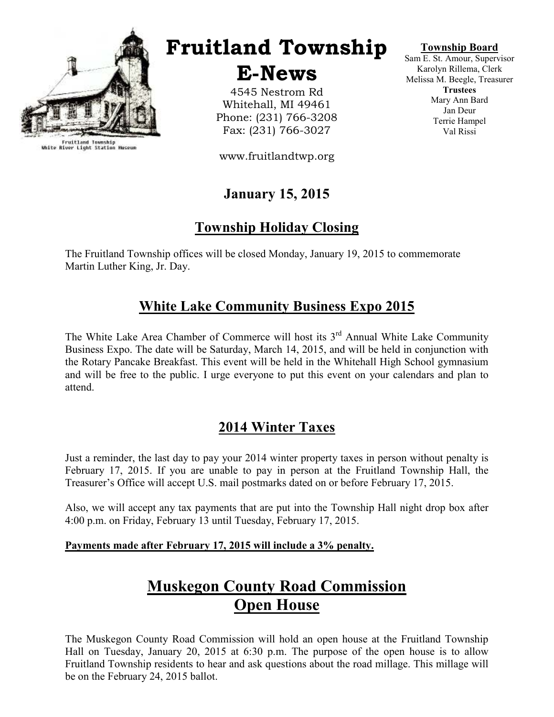

Fruitland Township<br>White River Light Station Museum

# Fruitland Township

E-News

4545 Nestrom Rd Whitehall, MI 49461 Phone: (231) 766-3208 Fax: (231) 766-3027

www.fruitlandtwp.org

# January 15, 2015

# Township Holiday Closing

The Fruitland Township offices will be closed Monday, January 19, 2015 to commemorate Martin Luther King, Jr. Day.

# White Lake Community Business Expo 2015

The White Lake Area Chamber of Commerce will host its  $3<sup>rd</sup>$  Annual White Lake Community Business Expo. The date will be Saturday, March 14, 2015, and will be held in conjunction with the Rotary Pancake Breakfast. This event will be held in the Whitehall High School gymnasium and will be free to the public. I urge everyone to put this event on your calendars and plan to attend.

# 2014 Winter Taxes

Just a reminder, the last day to pay your 2014 winter property taxes in person without penalty is February 17, 2015. If you are unable to pay in person at the Fruitland Township Hall, the Treasurer's Office will accept U.S. mail postmarks dated on or before February 17, 2015.

Also, we will accept any tax payments that are put into the Township Hall night drop box after 4:00 p.m. on Friday, February 13 until Tuesday, February 17, 2015.

### Payments made after February 17, 2015 will include a 3% penalty.

# Muskegon County Road Commission Open House

The Muskegon County Road Commission will hold an open house at the Fruitland Township Hall on Tuesday, January 20, 2015 at 6:30 p.m. The purpose of the open house is to allow Fruitland Township residents to hear and ask questions about the road millage. This millage will be on the February 24, 2015 ballot.

### Township Board

Sam E. St. Amour, Supervisor Karolyn Rillema, Clerk Melissa M. Beegle, Treasurer **Trustees** Mary Ann Bard Jan Deur Terrie Hampel Val Rissi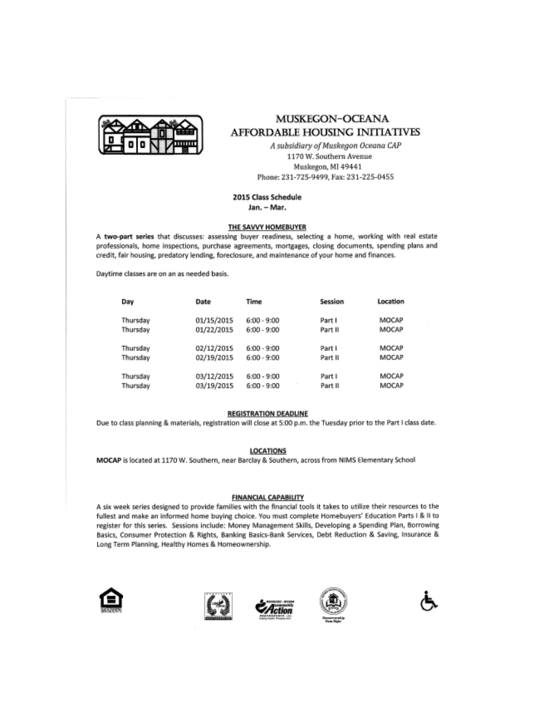

### **MUSKEGON-OCEANA AFFORDABLE HOUSING INITIATIVES**

A subsidiary of Muskegon Oceana CAP 1170 W. Southern Avenue Muskegon, MI 49441 Phone: 231-725-9499, Fax: 231-225-0455

### 2015 Class Schedule

Jan. - Mar.

#### THE SAVVY HOMEBUYER

A two-part series that discusses: assessing buyer readiness, selecting a home, working with real estate professionals, home inspections, purchase agreements, mortgages, closing documents, spending plans and credit, fair housing, predatory lending, foreclosure, and maintenance of your home and finances.

Daytime classes are on an as needed basis.

| Day      | Date       | Time          | Session | Location |
|----------|------------|---------------|---------|----------|
| Thursday | 01/15/2015 | $6:00 - 9:00$ | Part I  | MOCAP    |
| Thursday | 01/22/2015 | $6:00 - 9:00$ | Part II | MOCAP    |
| Thursday | 02/12/2015 | $6:00 - 9:00$ | Part I  | MOCAP    |
| Thursday | 02/19/2015 | $6:00 - 9:00$ | Part II | MOCAP    |
| Thursday | 03/12/2015 | $6:00 - 9:00$ | Part I  | MOCAP    |
| Thursday | 03/19/2015 | $6:00 - 9:00$ | Part II | MOCAP    |

#### **REGISTRATION DEADLINE**

Due to class planning & materials, registration will close at 5:00 p.m. the Tuesday prior to the Part I class date.

#### **LOCATIONS**

MOCAP is located at 1170 W. Southern, near Barclay & Southern, across from NIMS Elementary School

#### **FINANCIAL CAPABILITY**

A six week series designed to provide families with the financial tools it takes to utilize their resources to the fullest and make an informed home buying choice. You must complete Homebuyers' Education Parts I & II to register for this series. Sessions include: Money Management Skills, Developing a Spending Plan, Borrowing Basics, Consumer Protection & Rights, Banking Basics-Bank Services, Debt Reduction & Saving, Insurance & Long Term Planning, Healthy Homes & Homeownership.